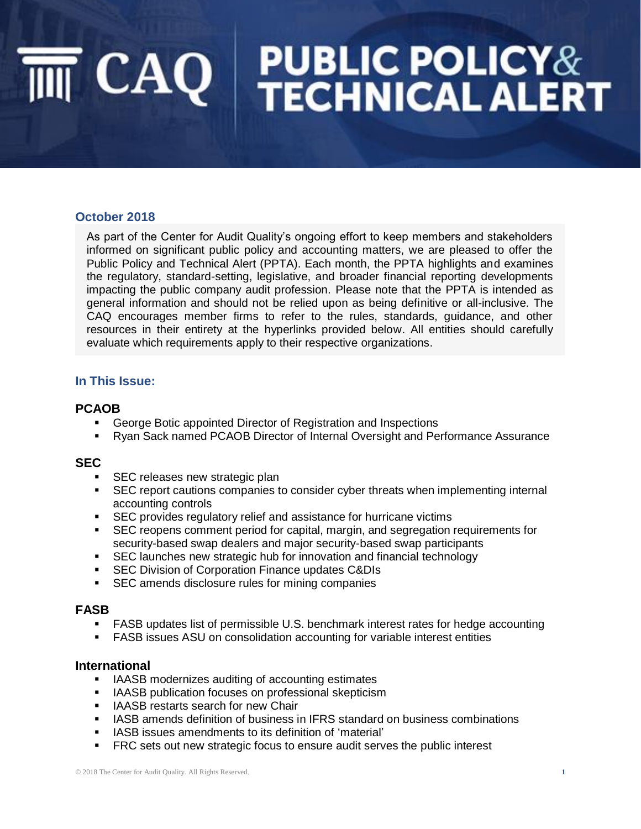# $\overline{\mathsf{init}}$   $\mathsf{CAQ}$  PUBLIC POLICY&

#### **October 2018**

As part of the Center for Audit Quality's ongoing effort to keep members and stakeholders informed on significant public policy and accounting matters, we are pleased to offer the Public Policy and Technical Alert (PPTA). Each month, the PPTA highlights and examines the regulatory, standard-setting, legislative, and broader financial reporting developments impacting the public company audit profession. Please note that the PPTA is intended as general information and should not be relied upon as being definitive or all-inclusive. The CAQ encourages member firms to refer to the rules, standards, guidance, and other resources in their entirety at the hyperlinks provided below. All entities should carefully evaluate which requirements apply to their respective organizations.

#### **In This Issue:**

#### **PCAOB**

- George Botic appointed Director of Registration and Inspections
- Ryan Sack named PCAOB Director of Internal Oversight and Performance Assurance

#### **SEC**

- **EXEC releases new strategic plan**
- **•** SEC report cautions companies to consider cyber threats when implementing internal accounting controls
- SEC provides regulatory relief and assistance for hurricane victims
- SEC reopens comment period for capital, margin, and segregation requirements for security-based swap dealers and major security-based swap participants
- SEC launches new strategic hub for innovation and financial technology
- **EXEC Division of Corporation Finance updates C&DIs**
- SEC amends disclosure rules for mining companies

#### **FASB**

- FASB updates list of permissible U.S. benchmark interest rates for hedge accounting
- FASB issues ASU on consolidation accounting for variable interest entities

#### **International**

- IAASB modernizes auditing of accounting estimates
- IAASB publication focuses on professional skepticism
- IAASB restarts search for new Chair
- IASB amends definition of business in IFRS standard on business combinations
- IASB issues amendments to its definition of 'material'
- FRC sets out new strategic focus to ensure audit serves the public interest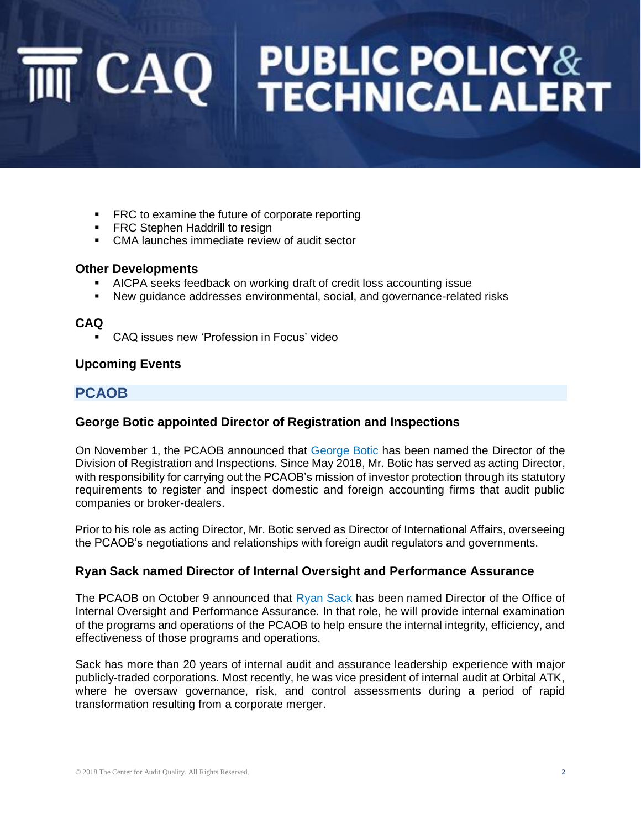# $\overline{\mathsf{init}}$   $\mathsf{CAQ}$  PUBLIC POLICY&

- FRC to examine the future of corporate reporting
- **FRC Stephen Haddrill to resign**
- CMA launches immediate review of audit sector

#### **Other Developments**

- AICPA seeks feedback on working draft of credit loss accounting issue
- New guidance addresses environmental, social, and governance-related risks

#### **CAQ**

CAQ issues new 'Profession in Focus' video

#### **Upcoming Events**

### **PCAOB**

#### **George Botic appointed Director of Registration and Inspections**

On November 1, the PCAOB announced that [George Botic](https://pcaobus.org/News/Releases/Pages/George-Botic-Named-PCAOB-Director-of-Registration-and-Inspections-.aspx?utm_source=PCAOB+Email+Subscriptions&utm_campaign=eab422b95e-EMAIL_CAMPAIGN_2018_0820_COPY_02&utm_medium=email&utm_term=0_c97e2ba223-eab422b95e-125369773) has been named the Director of the Division of Registration and Inspections. Since May 2018, Mr. Botic has served as acting Director, with responsibility for carrying out the PCAOB's mission of investor protection through its statutory requirements to register and inspect domestic and foreign accounting firms that audit public companies or broker-dealers.

Prior to his role as acting Director, Mr. Botic served as Director of International Affairs, overseeing the PCAOB's negotiations and relationships with foreign audit regulators and governments.

#### **Ryan Sack named Director of Internal Oversight and Performance Assurance**

The PCAOB on October 9 announced that [Ryan Sack](https://pcaobus.org/News/Releases/Pages/Ryan-Sack-named-PCAOB-IOPA-Director.aspx) has been named Director of the Office of Internal Oversight and Performance Assurance. In that role, he will provide internal examination of the programs and operations of the PCAOB to help ensure the internal integrity, efficiency, and effectiveness of those programs and operations.

Sack has more than 20 years of internal audit and assurance leadership experience with major publicly-traded corporations. Most recently, he was vice president of internal audit at Orbital ATK, where he oversaw governance, risk, and control assessments during a period of rapid transformation resulting from a corporate merger.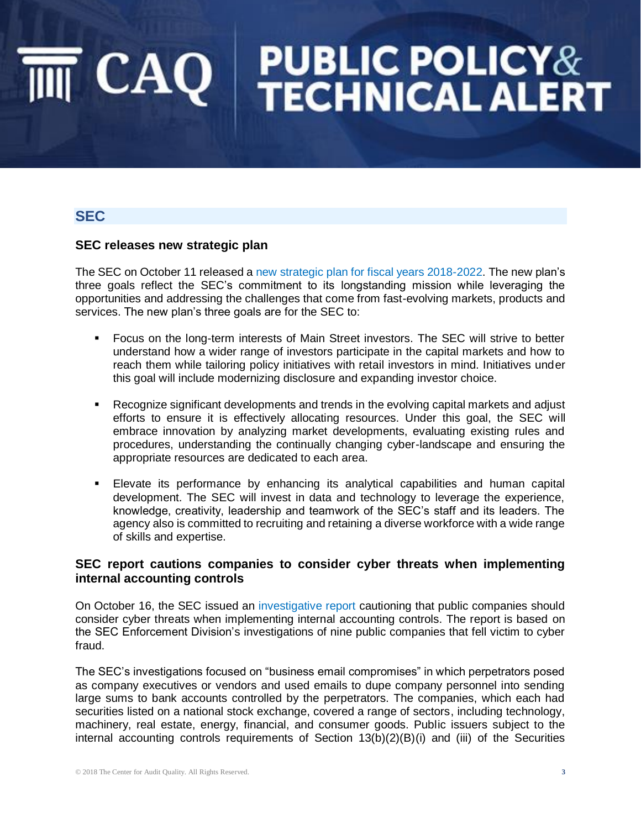### **SEC**

#### **SEC releases new strategic plan**

The SEC on October 11 released a [new strategic plan for fiscal years 2018-2022.](https://www.sec.gov/files/SEC_Strategic_Plan_FY18-FY22_FINAL.pdf) The new plan's three goals reflect the SEC's commitment to its longstanding mission while leveraging the opportunities and addressing the challenges that come from fast-evolving markets, products and services. The new plan's three goals are for the SEC to:

- Focus on the long-term interests of Main Street investors. The SEC will strive to better understand how a wider range of investors participate in the capital markets and how to reach them while tailoring policy initiatives with retail investors in mind. Initiatives under this goal will include modernizing disclosure and expanding investor choice.
- Recognize significant developments and trends in the evolving capital markets and adjust efforts to ensure it is effectively allocating resources. Under this goal, the SEC will embrace innovation by analyzing market developments, evaluating existing rules and procedures, understanding the continually changing cyber-landscape and ensuring the appropriate resources are dedicated to each area.
- Elevate its performance by enhancing its analytical capabilities and human capital development. The SEC will invest in data and technology to leverage the experience, knowledge, creativity, leadership and teamwork of the SEC's staff and its leaders. The agency also is committed to recruiting and retaining a diverse workforce with a wide range of skills and expertise.

#### **SEC report cautions companies to consider cyber threats when implementing internal accounting controls**

On October 16, the SEC issued an [investigative report](https://www.sec.gov/litigation/investreport/34-84429.pdf) cautioning that public companies should consider cyber threats when implementing internal accounting controls. The report is based on the SEC Enforcement Division's investigations of nine public companies that fell victim to cyber fraud.

The SEC's investigations focused on "business email compromises" in which perpetrators posed as company executives or vendors and used emails to dupe company personnel into sending large sums to bank accounts controlled by the perpetrators. The companies, which each had securities listed on a national stock exchange, covered a range of sectors, including technology, machinery, real estate, energy, financial, and consumer goods. Public issuers subject to the internal accounting controls requirements of Section 13(b)(2)(B)(i) and (iii) of the Securities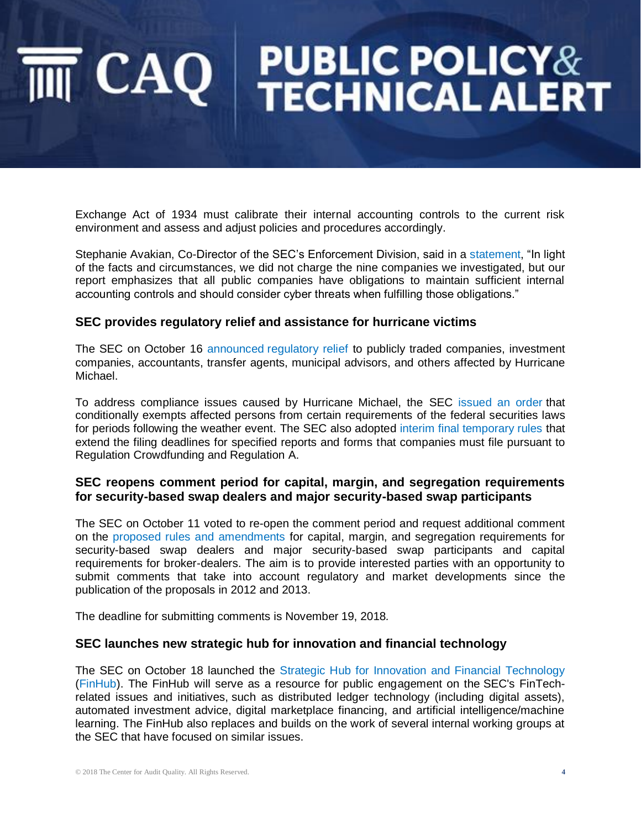Exchange Act of 1934 must calibrate their internal accounting controls to the current risk environment and assess and adjust policies and procedures accordingly.

Stephanie Avakian, Co-Director of the SEC's Enforcement Division, said in a [statement,](https://www.sec.gov/news/press-release/2018-236) "In light of the facts and circumstances, we did not charge the nine companies we investigated, but our report emphasizes that all public companies have obligations to maintain sufficient internal accounting controls and should consider cyber threats when fulfilling those obligations."

#### **SEC provides regulatory relief and assistance for hurricane victims**

The SEC on October 16 announced [regulatory relief](https://www.sec.gov/news/press-release/2018-237) to publicly traded companies, investment companies, accountants, transfer agents, municipal advisors, and others affected by Hurricane Michael.

To address compliance issues caused by Hurricane Michael, the SEC [issued an order](http://www.sec.gov/rules/other/2018/34-84440.pdf) that conditionally exempts affected persons from certain requirements of the federal securities laws for periods following the weather event. The SEC also adopted [interim final temporary rules](http://www.sec.gov/rules/interim/2018/33-10567.pdf) that extend the filing deadlines for specified reports and forms that companies must file pursuant to Regulation Crowdfunding and Regulation A.

#### **SEC reopens comment period for capital, margin, and segregation requirements for security-based swap dealers and major security-based swap participants**

The SEC on October 11 voted to re-open the comment period and request additional comment on the [proposed rules and amendments](https://www.sec.gov/rules/proposed/2018/34-84409.pdf) for capital, margin, and segregation requirements for security-based swap dealers and major security-based swap participants and capital requirements for broker-dealers. The aim is to provide interested parties with an opportunity to submit comments that take into account regulatory and market developments since the publication of the proposals in 2012 and 2013.

The deadline for submitting comments is November 19, 2018*.*

#### **SEC launches new strategic hub for innovation and financial technology**

The SEC on October 18 launched the [Strategic Hub for Innovation and Financial Technology](https://www.sec.gov/news/press-release/2018-240) [\(FinHub\)](https://www.sec.gov/finhub). The FinHub will serve as a resource for public engagement on the SEC's FinTechrelated issues and initiatives, such as distributed ledger technology (including digital assets), automated investment advice, digital marketplace financing, and artificial intelligence/machine learning. The FinHub also replaces and builds on the work of several internal working groups at the SEC that have focused on similar issues.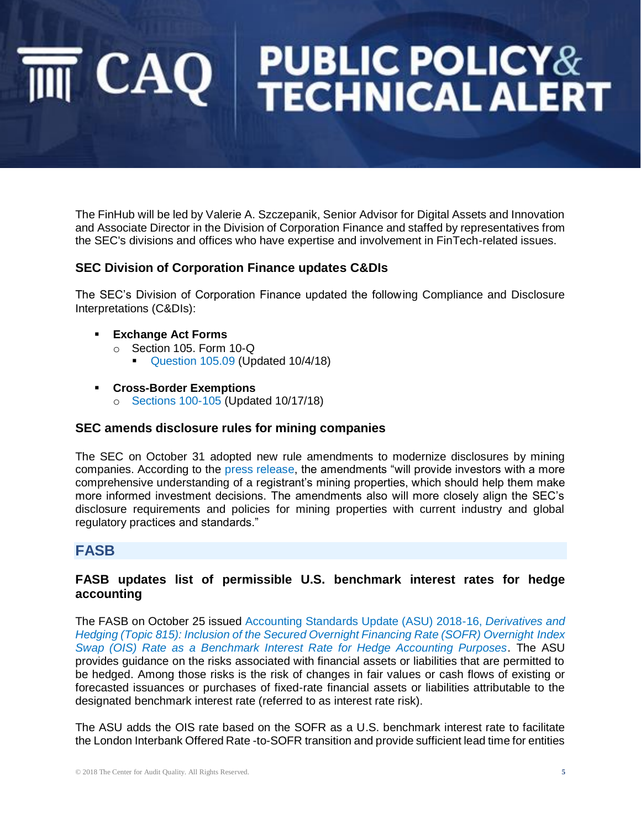The FinHub will be led by Valerie A. Szczepanik, Senior Advisor for Digital Assets and Innovation and Associate Director in the Division of Corporation Finance and staffed by representatives from the SEC's divisions and offices who have expertise and involvement in FinTech-related issues.

#### **SEC Division of Corporation Finance updates C&DIs**

The SEC's Division of Corporation Finance updated the following Compliance and Disclosure Interpretations (C&DIs):

- **Exchange Act Forms** 
	- o Section 105. Form 10-Q
		- [Question 105.09](https://www.sec.gov/divisions/corpfin/guidance/exchangeactforms-interps.htm) (Updated 10/4/18)
- **Cross-Border Exemptions**
	- o [Sections 100-105](https://www.sec.gov/corpfin/cross-border-exemptions-cdi) (Updated 10/17/18)

#### **SEC amends disclosure rules for mining companies**

The SEC on October 31 adopted new rule amendments to modernize disclosures by mining companies. According to the [press release,](https://www.sec.gov/news/press-release/2018-248) the amendments "will provide investors with a more comprehensive understanding of a registrant's mining properties, which should help them make more informed investment decisions. The amendments also will more closely align the SEC's disclosure requirements and policies for mining properties with current industry and global regulatory practices and standards."

#### **FASB**

#### **FASB updates list of permissible U.S. benchmark interest rates for hedge accounting**

The FASB on October 25 issued [Accounting Standards Update \(ASU\) 2018-16,](https://www.fasb.org/jsp/FASB/Document_C/DocumentPage?cid=1176171492980&acceptedDisclaimer=true) *Derivatives and [Hedging \(Topic 815\): Inclusion of the Secured Overnight Financing Rate \(SOFR\) Overnight](https://www.fasb.org/jsp/FASB/Document_C/DocumentPage?cid=1176171492980&acceptedDisclaimer=true) Index [Swap \(OIS\) Rate as a Benchmark Interest Rate for Hedge Accounting Purposes](https://www.fasb.org/jsp/FASB/Document_C/DocumentPage?cid=1176171492980&acceptedDisclaimer=true)*. The ASU provides guidance on the risks associated with financial assets or liabilities that are permitted to be hedged. Among those risks is the risk of changes in fair values or cash flows of existing or forecasted issuances or purchases of fixed-rate financial assets or liabilities attributable to the designated benchmark interest rate (referred to as interest rate risk).

The ASU adds the OIS rate based on the SOFR as a U.S. benchmark interest rate to facilitate the London Interbank Offered Rate -to-SOFR transition and provide sufficient lead time for entities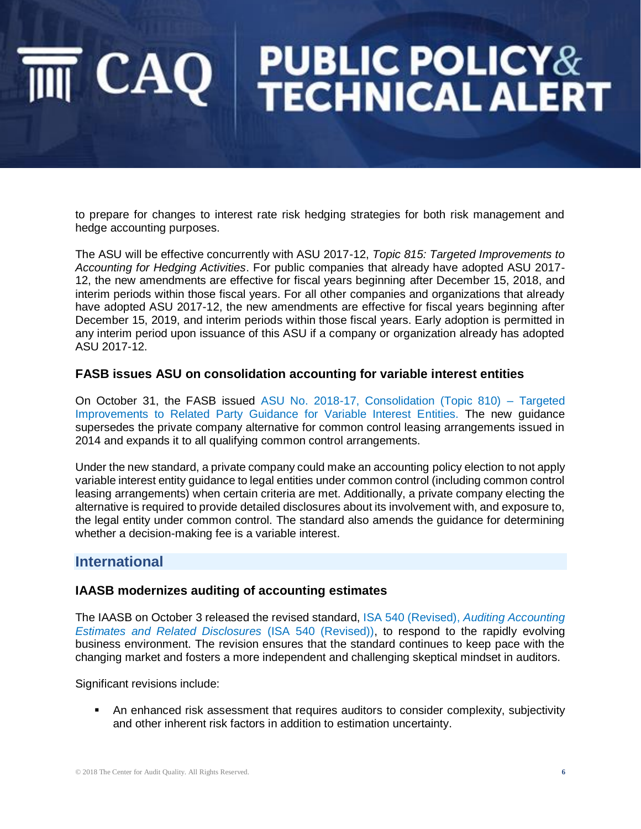to prepare for changes to interest rate risk hedging strategies for both risk management and hedge accounting purposes.

The ASU will be effective concurrently with ASU 2017-12, *Topic 815: Targeted Improvements to Accounting for Hedging Activities*. For public companies that already have adopted ASU 2017- 12, the new amendments are effective for fiscal years beginning after December 15, 2018, and interim periods within those fiscal years. For all other companies and organizations that already have adopted ASU 2017-12, the new amendments are effective for fiscal years beginning after December 15, 2019, and interim periods within those fiscal years. Early adoption is permitted in any interim period upon issuance of this ASU if a company or organization already has adopted ASU 2017-12.

#### **FASB issues ASU on consolidation accounting for variable interest entities**

On October 31, the FASB issued [ASU No. 2018-17, Consolidation \(Topic 810\) –](http://caq.informz.net/z/cjUucD9taT04MDY4MjM5JnA9MSZ1PTExMDIzNzM0MzImbGk9NTk5NTE0ODM/index.html) Targeted [Improvements to Related Party Guidance for Variable Interest Entities.](http://caq.informz.net/z/cjUucD9taT04MDY4MjM5JnA9MSZ1PTExMDIzNzM0MzImbGk9NTk5NTE0ODM/index.html) The new guidance supersedes the private company alternative for common control leasing arrangements issued in 2014 and expands it to all qualifying common control arrangements.

Under the new standard, a private company could make an accounting policy election to not apply variable interest entity guidance to legal entities under common control (including common control leasing arrangements) when certain criteria are met. Additionally, a private company electing the alternative is required to provide detailed disclosures about its involvement with, and exposure to, the legal entity under common control. The standard also amends the guidance for determining whether a decision-making fee is a variable interest.

#### **International**

#### **IAASB modernizes auditing of accounting estimates**

The IAASB on October 3 released the revised standard, ISA 540 (Revised), *[Auditing Accounting](http://www.ifac.org/publications-resources/isa-540-revised-auditing-accounting-estimates-and-related-disclosures)  [Estimates and Related Disclosures](http://www.ifac.org/publications-resources/isa-540-revised-auditing-accounting-estimates-and-related-disclosures)* (ISA 540 (Revised)), to respond to the rapidly evolving business environment. The revision ensures that the standard continues to keep pace with the changing market and fosters a more independent and challenging skeptical mindset in auditors.

Significant revisions include:

**•** An enhanced risk assessment that requires auditors to consider complexity, subjectivity and other inherent risk factors in addition to estimation uncertainty.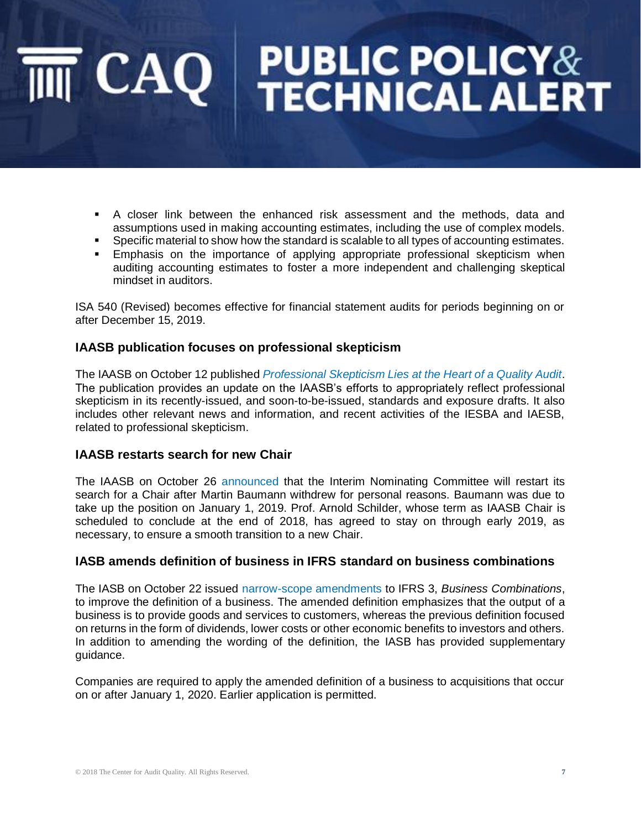- A closer link between the enhanced risk assessment and the methods, data and assumptions used in making accounting estimates, including the use of complex models.
- **•** Specific material to show how the standard is scalable to all types of accounting estimates.
- **Emphasis on the importance of applying appropriate professional skepticism when** auditing accounting estimates to foster a more independent and challenging skeptical mindset in auditors.

ISA 540 (Revised) becomes effective for financial statement audits for periods beginning on or after December 15, 2019.

### **IAASB publication focuses on professional skepticism**

The IAASB on October 12 published *[Professional Skepticism Lies at the Heart of a Quality Audit](http://www.ifac.org/publications-resources/professional-skepticism-lies-heart-quality-audit)*. The publication provides an update on the IAASB's efforts to appropriately reflect professional skepticism in its recently-issued, and soon-to-be-issued, standards and exposure drafts. It also includes other relevant news and information, and recent activities of the IESBA and IAESB, related to professional skepticism.

#### **IAASB restarts search for new Chair**

The IAASB on October 26 [announced](http://www.ifac.org/news-events/2018-10/search-influential-leader-chair-iaasb-restart) that the Interim Nominating Committee will restart its search for a Chair after Martin Baumann withdrew for personal reasons. Baumann was due to take up the position on January 1, 2019. Prof. Arnold Schilder, whose term as IAASB Chair is scheduled to conclude at the end of 2018, has agreed to stay on through early 2019, as necessary, to ensure a smooth transition to a new Chair.

#### **IASB amends definition of business in IFRS standard on business combinations**

The IASB on October 22 issued [narrow-scope amendments](https://www.ifrs.org/news-and-events/2018/10/iasb-amends-definition-of-business-in-ifrs-standard-on-business-combinations/) to IFRS 3, *Business Combinations*, to improve the definition of a business. The amended definition emphasizes that the output of a business is to provide goods and services to customers, whereas the previous definition focused on returns in the form of dividends, lower costs or other economic benefits to investors and others. In addition to amending the wording of the definition, the IASB has provided supplementary guidance.

Companies are required to apply the amended definition of a business to acquisitions that occur on or after January 1, 2020. Earlier application is permitted.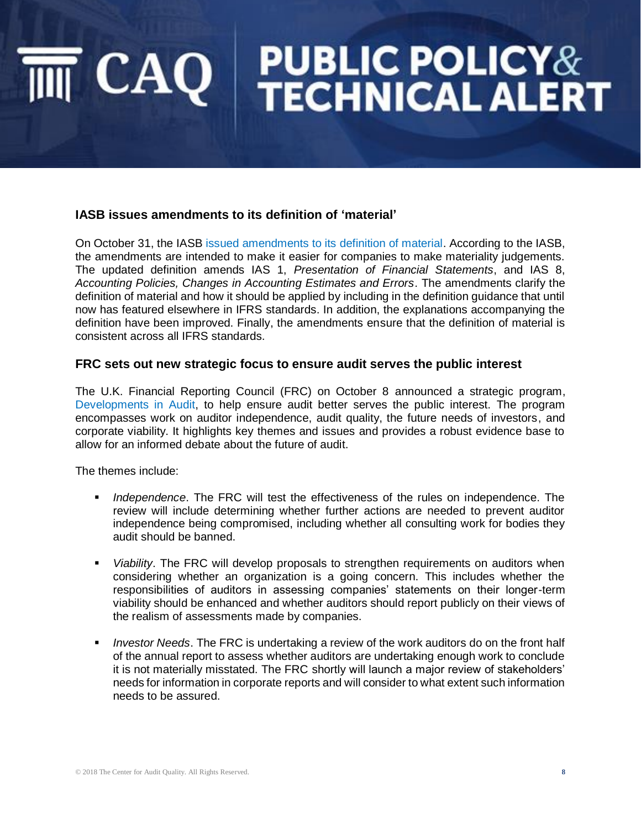#### **IASB issues amendments to its definition of 'material'**

On October 31, the IASB [issued amendments to its definition of material.](https://www.ifrs.org/news-and-events/2018/10/iasb-clarifies-its-definition-of-material/) According to the IASB, the amendments are intended to make it easier for companies to make materiality judgements. The updated definition amends IAS 1, *Presentation of Financial Statements*, and IAS 8, *Accounting Policies, Changes in Accounting Estimates and Errors*. The amendments clarify the definition of material and how it should be applied by including in the definition guidance that until now has featured elsewhere in IFRS standards. In addition, the explanations accompanying the definition have been improved. Finally, the amendments ensure that the definition of material is consistent across all IFRS standards.

#### **FRC sets out new strategic focus to ensure audit serves the public interest**

The U.K. Financial Reporting Council (FRC) on October 8 announced a strategic program, [Developments in Audit,](https://www.frc.org.uk/getattachment/5e1ac2d1-f58c-48bc-bb91-1f4a189df18b/Developments-in-Audit-2018.pdf) to help ensure audit better serves the public interest. The program encompasses work on auditor independence, audit quality, the future needs of investors, and corporate viability. It highlights key themes and issues and provides a robust evidence base to allow for an informed debate about the future of audit.

The themes include:

- **■** *Independence*. The FRC will test the effectiveness of the rules on independence. The review will include determining whether further actions are needed to prevent auditor independence being compromised, including whether all consulting work for bodies they audit should be banned.
- *Viability*. The FRC will develop proposals to strengthen requirements on auditors when considering whether an organization is a going concern. This includes whether the responsibilities of auditors in assessing companies' statements on their longer-term viability should be enhanced and whether auditors should report publicly on their views of the realism of assessments made by companies.
- *Investor Needs*. The FRC is undertaking a review of the work auditors do on the front half of the annual report to assess whether auditors are undertaking enough work to conclude it is not materially misstated. The FRC shortly will launch a major review of stakeholders' needs for information in corporate reports and will consider to what extent such information needs to be assured.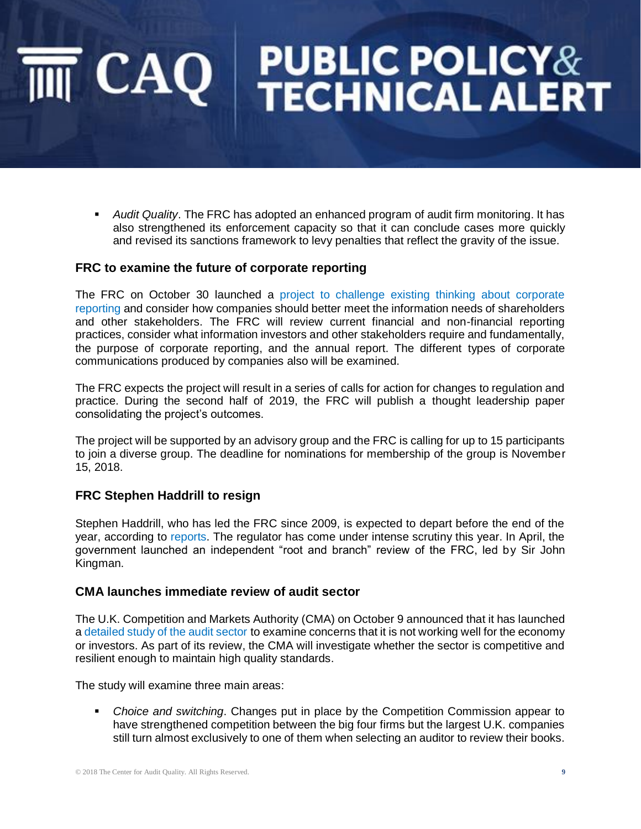# $\overline{\mathsf{m}}$   $\mathsf{CAQ}$  PUBLIC POLICY&

▪ *Audit Quality*. The FRC has adopted an enhanced program of audit firm monitoring. It has also strengthened its enforcement capacity so that it can conclude cases more quickly and revised its sanctions framework to levy penalties that reflect the gravity of the issue.

#### **FRC to examine the future of corporate reporting**

The FRC on October 30 launched a [project to challenge existing thinking about corporate](https://www.frc.org.uk/news/october-2018/frc-to-examine-the-future-of-corporate-reporting)  [reporting](https://www.frc.org.uk/news/october-2018/frc-to-examine-the-future-of-corporate-reporting) and consider how companies should better meet the information needs of shareholders and other stakeholders. The FRC will review current financial and non-financial reporting practices, consider what information investors and other stakeholders require and fundamentally, the purpose of corporate reporting, and the annual report. The different types of corporate communications produced by companies also will be examined.

The FRC expects the project will result in a series of calls for action for changes to regulation and practice. During the second half of 2019, the FRC will publish a thought leadership paper consolidating the project's outcomes.

The project will be supported by an advisory group and the FRC is calling for up to 15 participants to join a diverse group. The deadline for nominations for membership of the group is November 15, 2018.

#### **FRC Stephen Haddrill to resign**

Stephen Haddrill, who has led the FRC since 2009, is expected to depart before the end of the year, according to [reports.](https://economia.icaew.com/news/october-2018/stephen-haddrill-to-resign-from-the-frc) The regulator has come under intense scrutiny this year. In April, the government launched an independent "root and branch" review of the FRC, led by Sir John Kingman.

#### **CMA launches immediate review of audit sector**

The U.K. Competition and Markets Authority (CMA) on October 9 announced that it has launched [a detailed study of the audit sector](https://www.gov.uk/government/news/cma-launches-immediate-review-of-audit-sector) to examine concerns that it is not working well for the economy or investors. As part of its review, the CMA will investigate whether the sector is competitive and resilient enough to maintain high quality standards.

The study will examine three main areas:

**• Choice and switching. Changes put in place by the Competition Commission appear to** have strengthened competition between the big four firms but the largest U.K. companies still turn almost exclusively to one of them when selecting an auditor to review their books.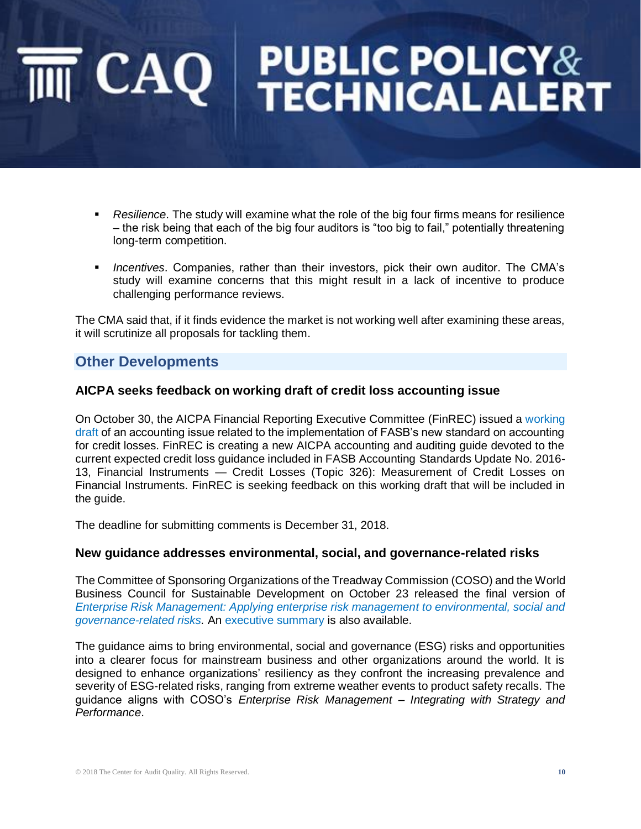# **PUBLIC POLICY&<br>TECHNICAL ALERT**  $\mathsf{CAO}$

- Resilience. The study will examine what the role of the big four firms means for resilience – the risk being that each of the big four auditors is "too big to fail," potentially threatening long-term competition.
- *Incentives*. Companies, rather than their investors, pick their own auditor. The CMA's study will examine concerns that this might result in a lack of incentive to produce challenging performance reviews.

The CMA said that, if it finds evidence the market is not working well after examining these areas, it will scrutinize all proposals for tackling them.

### **Other Developments**

#### **AICPA seeks feedback on working draft of credit loss accounting issue**

On October 30, the AICPA Financial Reporting Executive Committee (FinREC) issued a [working](https://www.aicpa.org/content/dam/aicpa/interestareas/frc/industryinsights/downloadabledocuments/dep/cecl/issue-6-reasonable-supportable-forecast-exposure-draft.pdf)  [draft](https://www.aicpa.org/content/dam/aicpa/interestareas/frc/industryinsights/downloadabledocuments/dep/cecl/issue-6-reasonable-supportable-forecast-exposure-draft.pdf) of an accounting issue related to the implementation of FASB's new standard on accounting for credit losses. FinREC is creating a new AICPA accounting and auditing guide devoted to the current expected credit loss guidance included in FASB Accounting Standards Update No. 2016- 13, Financial Instruments — Credit Losses (Topic 326): Measurement of Credit Losses on Financial Instruments. FinREC is seeking feedback on this working draft that will be included in the guide.

The deadline for submitting comments is December 31, 2018.

#### **New guidance addresses environmental, social, and governance-related risks**

The Committee of Sponsoring Organizations of the Treadway Commission (COSO) and the World Business Council for Sustainable Development on October 23 released the final version of *[Enterprise Risk Management: Applying enterprise risk management to environmental, social and](https://www.coso.org/Documents/COSO-WBCSD-ESGERM-Guidance-Full.pdf)  [governance-related risks.](https://www.coso.org/Documents/COSO-WBCSD-ESGERM-Guidance-Full.pdf)* An [executive summary](https://www.coso.org/Documents/COSO-WBCSD-ESGERM-Executive-Summary.pdf) is also available.

The guidance aims to bring environmental, social and governance (ESG) risks and opportunities into a clearer focus for mainstream business and other organizations around the world. It is designed to enhance organizations' resiliency as they confront the increasing prevalence and severity of ESG-related risks, ranging from extreme weather events to product safety recalls. The guidance aligns with COSO's *Enterprise Risk Management – Integrating with Strategy and Performance*.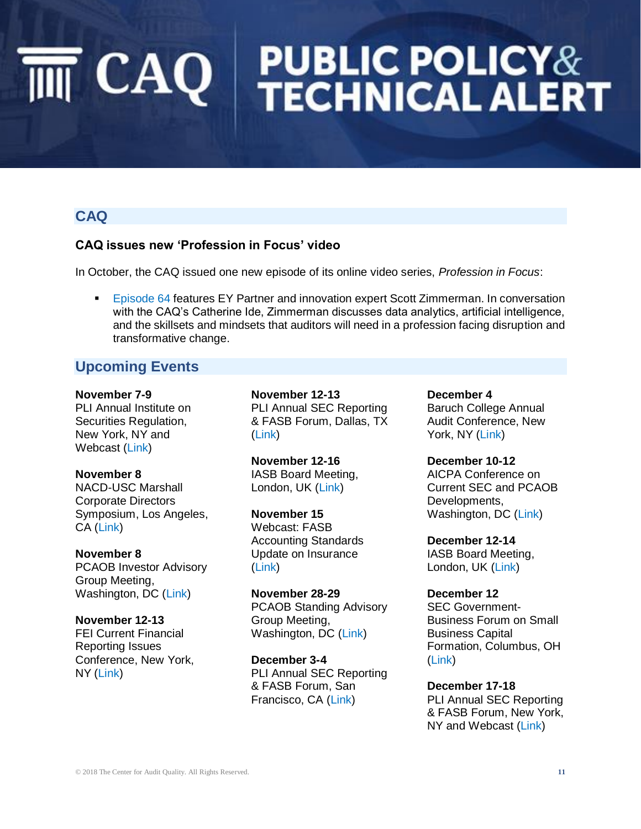### **CAQ**

#### **CAQ issues new 'Profession in Focus' video**

In October, the CAQ issued one new episode of its online video series, *Profession in Focus*:

[Episode 64](https://www.thecaq.org/episode-64-profession-focus-features-eys-scott-zimmerman) features EY Partner and innovation expert Scott Zimmerman. In conversation with the CAQ's Catherine Ide, Zimmerman discusses data analytics, artificial intelligence, and the skillsets and mindsets that auditors will need in a profession facing disruption and transformative change.

### **Upcoming Events**

**November 7-9** PLI Annual Institute on Securities Regulation, New York, NY and Webcast [\(Link\)](https://www.pli.edu/Content/Seminar/50th_Annual_Institute_on_Securities_Regulation/_/N-4kZ1z0zyio?No=25&Ns=sort_date%7c0&ID=328139)

#### **November 8**

NACD-USC Marshall Corporate Directors Symposium, Los Angeles, CA [\(Link\)](https://pacificsouthwest.nacdonline.org/Events/Detail/index.cfm?ItemNumber=62332)

#### **November 8**

PCAOB Investor Advisory Group Meeting, Washington, DC [\(Link\)](https://pcaobus.org/News/Events/Pages/PCAOB-IAG-Meeting.aspx)

#### **November 12-13**

FEI Current Financial Reporting Issues Conference, New York, NY [\(Link\)](https://www.financialexecutives.org/Events/Conferences/Current-Financial-Reporting-Issues.aspx)

**November 12-13** PLI Annual SEC Reporting & FASB Forum, Dallas, TX [\(Link\)](https://www.pli.edu/Content/Seminar/34th_Annual_SEC_Reporting_FASB_Forum/_/N-4kZ1z0ztjw?ID=328754)

**November 12-16** IASB Board Meeting, London, UK [\(Link\)](http://www.ifrs.org/news-and-events/calendar/2018/november/international-accounting-standards-board/)

**November 15** Webcast: FASB Accounting Standards Update on Insurance [\(Link\)](https://www.fasb.org/cs/ContentServer?c=FASBContent_C&cid=1176171425061&d=&pagename=FASB%2FFASBContent_C%2FNewsPage)

**November 28-29** PCAOB Standing Advisory Group Meeting, Washington, DC [\(Link\)](https://pcaobus.org/News/Releases/Pages/six-new-eight-reappointed-standing-advisory-group-members-1-12-2018.aspx)

**December 3-4** PLI Annual SEC Reporting & FASB Forum, San Francisco, CA [\(Link\)](https://www.pli.edu/Content/Seminar/34th_Annual_SEC_Reporting_FASB_Forum/_/N-4kZ1z0ztjw?ID=328754)

**December 4** Baruch College Annual Audit Conference, New York, NY [\(Link\)](http://www.baruch.cuny.edu/calendar/EventList.aspx?fromdate=12/4/2018&todate=12/4/2018&display=Day&type=public&eventidn=51876&view=EventDetails&information_id=749140)

**December 10-12** AICPA Conference on Current SEC and PCAOB Developments, Washington, DC [\(Link\)](https://www.aicpastore.com/Accounting/FinancialReporting/aicpa-conference-on-current-sec-and-pcaob-developm/PRDOVR~PC-SEC/PC-SEC.jsp)

**December 12-14** IASB Board Meeting, London, UK [\(Link\)](http://www.ifrs.org/news-and-events/calendar/2018/december/international-accounting-standards-board/)

#### **December 12**

SEC Government-Business Forum on Small Business Capital Formation, Columbus, OH [\(Link\)](https://www.sec.gov/news/upcoming-events/37th-annual-sec-government-business)

**December 17-18** PLI Annual SEC Reporting & FASB Forum, New York, NY and Webcast [\(Link\)](https://www.pli.edu/Content/Seminar/34th_Annual_SEC_Reporting_FASB_Forum/_/N-4kZ1z0ztjw?ID=328754)